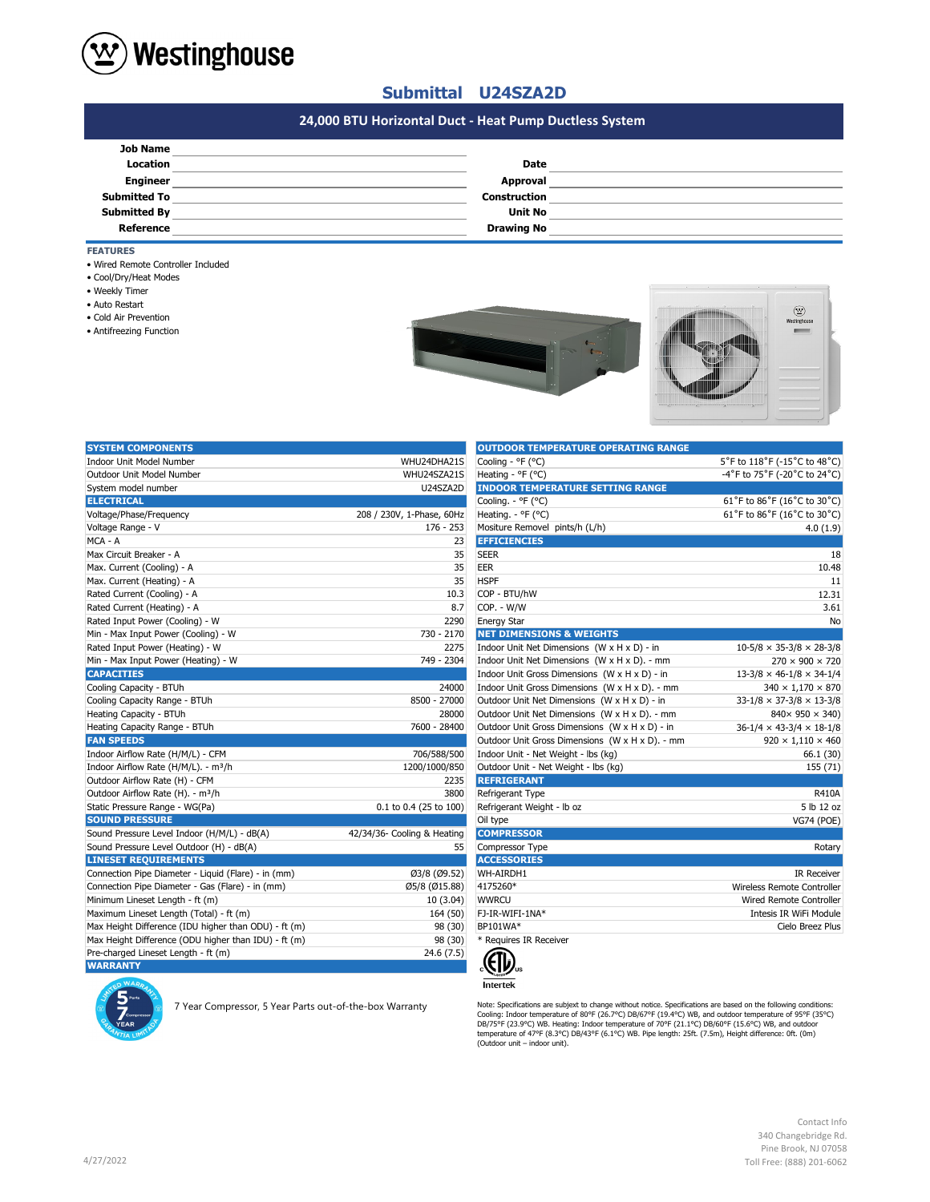

# **Submittal U24SZA2D**

# **#N/A 24,000 BTU Horizontal Duct - Heat Pump Ductless System**

| <b>Job Name</b>     |                     |  |
|---------------------|---------------------|--|
| <b>Location</b>     | <b>Date</b>         |  |
| <b>Engineer</b>     | Approval            |  |
| <b>Submitted To</b> | <b>Construction</b> |  |
| <b>Submitted By</b> | <b>Unit No</b>      |  |
| Reference           | <b>Drawing No</b>   |  |
|                     |                     |  |

**FEATURES**

- Wired Remote Controller Included
- Cool/Dry/Heat Modes
- Weekly Timer
- Auto Restart
- Cold Air Prevention
- Antifreezing Function





| <b>SYSTEM COMPONENTS</b>                             |                             | <b>OUTDOOR TEMPERATURE OPERATING RANGE</b>      |                                      |
|------------------------------------------------------|-----------------------------|-------------------------------------------------|--------------------------------------|
| <b>Indoor Unit Model Number</b>                      | WHU24DHA21S                 | Cooling - °F (°C)                               | 5°F to 118°F (-15°C to 48°C)         |
| Outdoor Unit Model Number                            | WHU24SZA21S                 | Heating - ${}^{\circ}$ F ( ${}^{\circ}$ C)      | -4°F to 75°F (-20°C to 24°C)         |
| System model number                                  | U24SZA2D                    | <b>INDOOR TEMPERATURE SETTING RANGE</b>         |                                      |
| <b>ELECTRICAL</b>                                    |                             | Cooling. - °F (°C)                              | 61°F to 86°F (16°C to 30°C)          |
| Voltage/Phase/Frequency                              | 208 / 230V, 1-Phase, 60Hz   | Heating. - ${}^{\circ}$ F ( ${}^{\circ}$ C)     | 61°F to 86°F (16°C to 30°C)          |
| Voltage Range - V                                    | $176 - 253$                 | Mositure Removel pints/h (L/h)                  | 4.0(1.9)                             |
| MCA - A                                              | 23                          | <b>EFFICIENCIES</b>                             |                                      |
| Max Circuit Breaker - A                              | 35                          | <b>SEER</b>                                     | 18                                   |
| Max. Current (Cooling) - A                           | 35                          | EER                                             | 10.48                                |
| Max. Current (Heating) - A                           | 35                          | <b>HSPF</b>                                     | 11                                   |
| Rated Current (Cooling) - A                          | 10.3                        | COP - BTU/hW                                    | 12.31                                |
| Rated Current (Heating) - A                          | 8.7                         | COP. - W/W                                      | 3.61                                 |
| Rated Input Power (Cooling) - W                      | 2290                        | <b>Energy Star</b>                              | No                                   |
| Min - Max Input Power (Cooling) - W                  | 730 - 2170                  | <b>NET DIMENSIONS &amp; WEIGHTS</b>             |                                      |
| Rated Input Power (Heating) - W                      | 2275                        | Indoor Unit Net Dimensions (W x H x D) - in     | $10-5/8 \times 35-3/8 \times 28-3/8$ |
| Min - Max Input Power (Heating) - W                  | 749 - 2304                  | Indoor Unit Net Dimensions (W x H x D). - mm    | $270 \times 900 \times 720$          |
| <b>CAPACITIES</b>                                    |                             | Indoor Unit Gross Dimensions (W x H x D) - in   | $13-3/8 \times 46-1/8 \times 34-1/4$ |
| Cooling Capacity - BTUh                              | 24000                       | Indoor Unit Gross Dimensions (W x H x D). - mm  | $340 \times 1,170 \times 870$        |
| Cooling Capacity Range - BTUh                        | 8500 - 27000                | Outdoor Unit Net Dimensions (W x H x D) - in    | $33-1/8 \times 37-3/8 \times 13-3/8$ |
| Heating Capacity - BTUh                              | 28000                       | Outdoor Unit Net Dimensions (W x H x D). - mm   | $840 \times 950 \times 340$          |
| Heating Capacity Range - BTUh                        | 7600 - 28400                | Outdoor Unit Gross Dimensions (W x H x D) - in  | $36-1/4 \times 43-3/4 \times 18-1/8$ |
| <b>FAN SPEEDS</b>                                    |                             | Outdoor Unit Gross Dimensions (W x H x D). - mm | $920 \times 1,110 \times 460$        |
| Indoor Airflow Rate (H/M/L) - CFM                    | 706/588/500                 | Indoor Unit - Net Weight - lbs (kg)             | 66.1 (30)                            |
| Indoor Airflow Rate (H/M/L). - m <sup>3</sup> /h     | 1200/1000/850               | Outdoor Unit - Net Weight - Ibs (kg)            | 155 (71)                             |
| Outdoor Airflow Rate (H) - CFM                       | 2235                        | <b>REFRIGERANT</b>                              |                                      |
| Outdoor Airflow Rate (H). - m <sup>3</sup> /h        | 3800                        | Refrigerant Type                                | <b>R410A</b>                         |
| Static Pressure Range - WG(Pa)                       | 0.1 to 0.4 (25 to 100)      | Refrigerant Weight - Ib oz                      | 5 lb 12 oz                           |
| <b>SOUND PRESSURE</b>                                |                             | Oil type                                        | VG74 (POE)                           |
| Sound Pressure Level Indoor (H/M/L) - dB(A)          | 42/34/36- Cooling & Heating | <b>COMPRESSOR</b>                               |                                      |
| Sound Pressure Level Outdoor (H) - dB(A)             | 55                          | Compressor Type                                 | Rotary                               |
| <b>LINESET REQUIREMENTS</b>                          |                             | <b>ACCESSORIES</b>                              |                                      |
| Connection Pipe Diameter - Liquid (Flare) - in (mm)  | Ø3/8 (Ø9.52)                | WH-AIRDH1                                       | <b>IR Receiver</b>                   |
| Connection Pipe Diameter - Gas (Flare) - in (mm)     | Ø5/8 (Ø15.88)               | 4175260*                                        | Wireless Remote Controller           |
| Minimum Lineset Length - ft (m)                      | 10(3.04)                    | <b>WWRCU</b>                                    | Wired Remote Controller              |
| Maximum Lineset Length (Total) - ft (m)              | 164 (50)                    | FJ-IR-WIFI-1NA*                                 | Intesis IR WiFi Module               |
| Max Height Difference (IDU higher than ODU) - ft (m) | 98 (30)                     | BP101WA*                                        | Cielo Breez Plus                     |
| Max Height Difference (ODU higher than IDU) - ft (m) | 98 (30)                     | * Requires IR Receiver                          |                                      |
| Pre-charged Lineset Length - ft (m)                  | 24.6(7.5)                   |                                                 |                                      |
| <b>WARRANTY</b>                                      |                             | 、(リリ。                                           |                                      |

| <b>OUTDOOR TEMPERATURE OPERATING RANGE</b>      |                                      |
|-------------------------------------------------|--------------------------------------|
| Cooling - °F (°C)                               | 5°F to 118°F (-15°C to 48°C)         |
| Heating - ${}^{\circ}$ F ( ${}^{\circ}$ C)      | -4°F to 75°F (-20°C to 24°C)         |
| <b>INDOOR TEMPERATURE SETTING RANGE</b>         |                                      |
| Cooling. - °F (°C)                              | 61°F to 86°F (16°C to 30°C)          |
| Heating. - °F (°C)                              | 61°F to 86°F (16°C to 30°C)          |
| Mositure Removel pints/h (L/h)                  | 4.0(1.9)                             |
| <b>EFFICIENCIES</b>                             |                                      |
| <b>SEER</b>                                     | 18                                   |
| EER                                             | 10.48                                |
| <b>HSPF</b>                                     | 11                                   |
| COP - BTU/hW                                    | 12.31                                |
| COP. - W/W                                      | 3.61                                 |
| <b>Energy Star</b>                              | No                                   |
| <b>NET DIMENSIONS &amp; WEIGHTS</b>             |                                      |
| Indoor Unit Net Dimensions (W x H x D) - in     | $10-5/8 \times 35-3/8 \times 28-3/8$ |
| Indoor Unit Net Dimensions (W x H x D). - mm    | $270 \times 900 \times 720$          |
| Indoor Unit Gross Dimensions (W x H x D) - in   | $13-3/8 \times 46-1/8 \times 34-1/4$ |
| Indoor Unit Gross Dimensions (W x H x D). - mm  | $340 \times 1,170 \times 870$        |
| Outdoor Unit Net Dimensions (W x H x D) - in    | $33-1/8 \times 37-3/8 \times 13-3/8$ |
| Outdoor Unit Net Dimensions (W x H x D). - mm   | $840 \times 950 \times 340$          |
| Outdoor Unit Gross Dimensions (W x H x D) - in  | $36-1/4 \times 43-3/4 \times 18-1/8$ |
| Outdoor Unit Gross Dimensions (W x H x D). - mm | $920 \times 1,110 \times 460$        |
| Indoor Unit - Net Weight - lbs (kg)             | 66.1 (30)                            |
| Outdoor Unit - Net Weight - Ibs (kg)            | 155 (71)                             |
| <b>REFRIGERANT</b>                              |                                      |
| Refrigerant Type                                | R410A                                |
| Refrigerant Weight - Ib oz                      | 5 lb 12 oz                           |
| Oil type                                        | <b>VG74 (POE)</b>                    |
| <b>COMPRESSOR</b>                               |                                      |
| Compressor Type                                 | Rotary                               |
| <b>ACCESSORIES</b>                              |                                      |
| WH-AIRDH1                                       | <b>IR Receiver</b>                   |
| 4175260*                                        | Wireless Remote Controller           |
| <b>WWRCU</b>                                    | Wired Remote Controller              |
| FJ-IR-WIFI-1NA*                                 | Intesis IR WiFi Module               |
| BP101WA*                                        | Cielo Breez Plus                     |
| * Requires IR Receiver                          |                                      |
|                                                 |                                      |



Nete: Specifications are subject to change without notice. Specifications are subject to change without notice. Specifications are specifications are specifications:<br>Cooling: Indoor temperature of 90°F (23-9°C) WB. Heatin

Contact Info 340 Changebridge Rd. Pine Brook, NJ 07058 Toll Free: (888) 201-6062

|--|--|